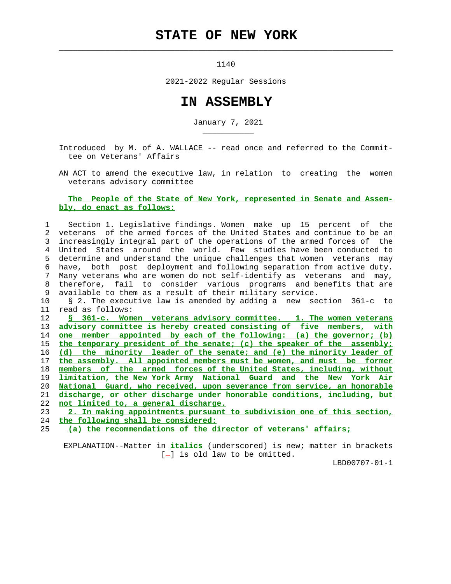## **STATE OF NEW YORK**

1140

 $\mathcal{L}_\text{max} = \frac{1}{2} \sum_{i=1}^{n} \frac{1}{2} \sum_{i=1}^{n} \frac{1}{2} \sum_{i=1}^{n} \frac{1}{2} \sum_{i=1}^{n} \frac{1}{2} \sum_{i=1}^{n} \frac{1}{2} \sum_{i=1}^{n} \frac{1}{2} \sum_{i=1}^{n} \frac{1}{2} \sum_{i=1}^{n} \frac{1}{2} \sum_{i=1}^{n} \frac{1}{2} \sum_{i=1}^{n} \frac{1}{2} \sum_{i=1}^{n} \frac{1}{2} \sum_{i=1}^{n} \frac{1$ 

\_\_\_\_\_\_\_\_\_\_\_

2021-2022 Regular Sessions

## **IN ASSEMBLY**

January 7, 2021

 Introduced by M. of A. WALLACE -- read once and referred to the Commit tee on Veterans' Affairs

 AN ACT to amend the executive law, in relation to creating the women veterans advisory committee

## **The People of the State of New York, represented in Senate and Assem bly, do enact as follows:**

| $\mathbf{1}$  | Section 1. Legislative findings. Women make up 15 percent of the         |
|---------------|--------------------------------------------------------------------------|
| $\mathcal{L}$ | veterans of the armed forces of the United States and continue to be an  |
| 3             | increasingly integral part of the operations of the armed forces of the  |
| 4             | United States around the world. Few studies have been conducted to       |
| 5             | determine and understand the unique challenges that women veterans may   |
| 6             | have, both post deployment and following separation from active duty.    |
| 7             | Many veterans who are women do not self-identify as veterans and may,    |
| 8             | therefore, fail to consider various programs and benefits that are       |
| 9             | available to them as a result of their military service.                 |
| 10            | § 2. The executive law is amended by adding a new section 361-c to       |
| 11            | read as follows:                                                         |
| 12            | S 361-c. Women veterans advisory committee. 1. The women veterans        |
| 13            | advisory committee is hereby created consisting of five members, with    |
| 14            | one member appointed by each of the following: (a) the governor; (b)     |
| 15            | the temporary president of the senate; (c) the speaker of the assembly;  |
| 16            | (d) the minority leader of the senate; and (e) the minority leader of    |
| 17            | the assembly. All appointed members must be women, and must be former    |
| 18            | members of the armed forces of the United States, including, without     |
| 19            | limitation, the New York Army National Guard and the New York Air        |
| 20            | National Guard, who received, upon severance from service, an honorable  |
|               |                                                                          |
| 21            | discharge, or other discharge under honorable conditions, including, but |
| 22            | not limited to, a general discharge.                                     |
| 23            | 2. In making appointments pursuant to subdivision one of this section,   |
| 24            | the following shall be considered:                                       |

 EXPLANATION--Matter in **italics** (underscored) is new; matter in brackets  $[-]$  is old law to be omitted.

LBD00707-01-1